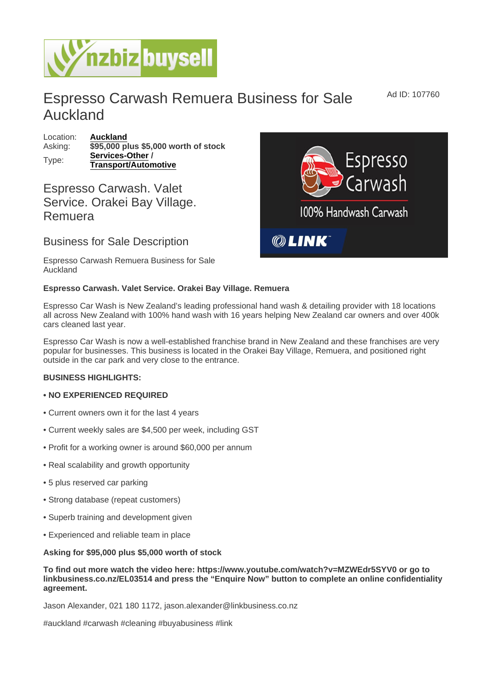## Espresso Carwash Remuera Business for Sale Auckland

Location: [Auckland](https://www.nzbizbuysell.co.nz/businesses-for-sale/location/Auckland) Asking: \$95,000 plus \$5,000 worth of stock Type: [Services-Other](https://www.nzbizbuysell.co.nz/businesses-for-sale/Services/New-Zealand) / Transport/Automotive

## Espresso Carwash. Valet Service. Orakei Bay Village. Remuera

Business for Sale Description

Espresso Carwash Remuera Business for Sale Auckland

Espresso Carwash. Valet Service. Orakei Bay Village. Remuera

Espresso Car Wash is New Zealand's leading professional hand wash & detailing provider with 18 locations all across New Zealand with 100% hand wash with 16 years helping New Zealand car owners and over 400k cars cleaned last year.

Espresso Car Wash is now a well-established franchise brand in New Zealand and these franchises are very popular for businesses. This business is located in the Orakei Bay Village, Remuera, and positioned right outside in the car park and very close to the entrance.

BUSINESS HIGHLIGHTS:

- NO EXPERIENCED REQUIRED
- Current owners own it for the last 4 years
- Current weekly sales are \$4,500 per week, including GST
- Profit for a working owner is around \$60,000 per annum
- Real scalability and growth opportunity
- 5 plus reserved car parking
- Strong database (repeat customers)
- Superb training and development given
- Experienced and reliable team in place

Asking for \$95,000 plus \$5,000 worth of stock

To find out more watch the video here: https://www.youtube.com/watch?v=MZWEdr5SYV0 or go to linkbusiness.co.nz/EL03514 and press the "Enquire Now" button to complete an online confidentiality agreement.

Jason Alexander, 021 180 1172, jason.alexander@linkbusiness.co.nz

#auckland #carwash #cleaning #buyabusiness #link